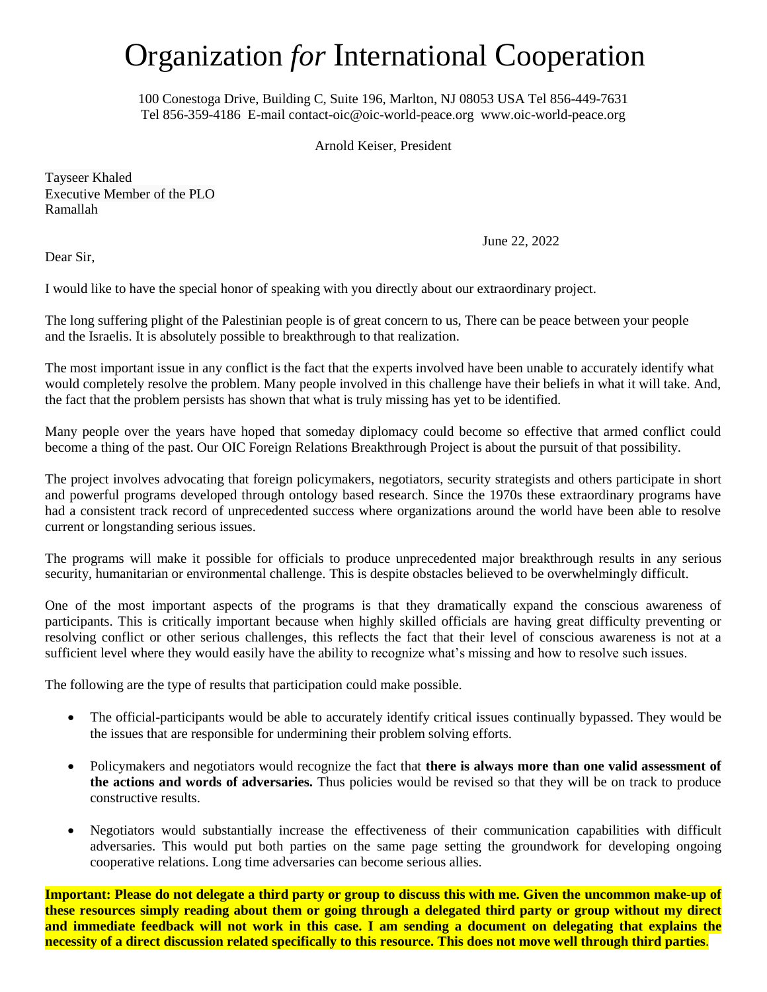## Organization *for* International Cooperation

100 Conestoga Drive, Building C, Suite 196, Marlton, NJ 08053 USA Tel 856-449-7631 Tel 856-359-4186 E-mail [contact-oic@oic-world-peace.org](mailto:contact-oic@oic-world-peace.org) [www.oic-world-peace.org](http://www.oic-world-peace.org/)

Arnold Keiser, President

Tayseer Khaled Executive Member of the PLO Ramallah

June 22, 2022

Dear Sir,

I would like to have the special honor of speaking with you directly about our extraordinary project.

The long suffering plight of the Palestinian people is of great concern to us, There can be peace between your people and the Israelis. It is absolutely possible to breakthrough to that realization.

The most important issue in any conflict is the fact that the experts involved have been unable to accurately identify what would completely resolve the problem. Many people involved in this challenge have their beliefs in what it will take. And, the fact that the problem persists has shown that what is truly missing has yet to be identified.

Many people over the years have hoped that someday diplomacy could become so effective that armed conflict could become a thing of the past. Our OIC Foreign Relations Breakthrough Project is about the pursuit of that possibility.

The project involves advocating that foreign policymakers, negotiators, security strategists and others participate in short and powerful programs developed through ontology based research. Since the 1970s these extraordinary programs have had a consistent track record of unprecedented success where organizations around the world have been able to resolve current or longstanding serious issues.

The programs will make it possible for officials to produce unprecedented major breakthrough results in any serious security, humanitarian or environmental challenge. This is despite obstacles believed to be overwhelmingly difficult.

One of the most important aspects of the programs is that they dramatically expand the conscious awareness of participants. This is critically important because when highly skilled officials are having great difficulty preventing or resolving conflict or other serious challenges, this reflects the fact that their level of conscious awareness is not at a sufficient level where they would easily have the ability to recognize what's missing and how to resolve such issues.

The following are the type of results that participation could make possible.

- The official-participants would be able to accurately identify critical issues continually bypassed. They would be the issues that are responsible for undermining their problem solving efforts.
- Policymakers and negotiators would recognize the fact that **there is always more than one valid assessment of the actions and words of adversaries.** Thus policies would be revised so that they will be on track to produce constructive results.
- Negotiators would substantially increase the effectiveness of their communication capabilities with difficult adversaries. This would put both parties on the same page setting the groundwork for developing ongoing cooperative relations. Long time adversaries can become serious allies.

**Important: Please do not delegate a third party or group to discuss this with me. Given the uncommon make-up of these resources simply reading about them or going through a delegated third party or group without my direct and immediate feedback will not work in this case. I am sending a document on delegating that explains the necessity of a direct discussion related specifically to this resource. This does not move well through third parties**.